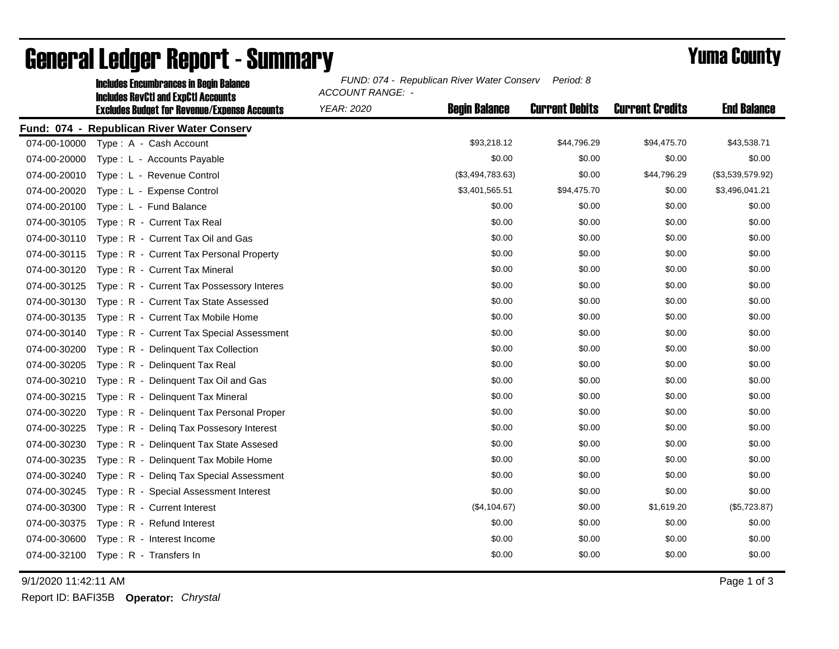|              | <b>Includes Encumbrances in Begin Balance</b>                                                     | FUND: 074 - Republican River Water Conserv<br>Period: 8<br><b>ACCOUNT RANGE: -</b> |                      |                       |                        |                    |  |
|--------------|---------------------------------------------------------------------------------------------------|------------------------------------------------------------------------------------|----------------------|-----------------------|------------------------|--------------------|--|
|              | <b>Includes RevCtI and ExpCtI Accounts</b><br><b>Excludes Budget for Revenue/Expense Accounts</b> | <b>YEAR: 2020</b>                                                                  | <b>Begin Balance</b> | <b>Current Debits</b> | <b>Current Credits</b> | <b>End Balance</b> |  |
|              | Fund: 074 - Republican River Water Conserv                                                        |                                                                                    |                      |                       |                        |                    |  |
| 074-00-10000 | Type: A - Cash Account                                                                            |                                                                                    | \$93,218.12          | \$44,796.29           | \$94,475.70            | \$43,538.71        |  |
| 074-00-20000 | Type: L - Accounts Payable                                                                        |                                                                                    | \$0.00               | \$0.00                | \$0.00                 | \$0.00             |  |
| 074-00-20010 | Type: L - Revenue Control                                                                         |                                                                                    | (\$3,494,783.63)     | \$0.00                | \$44,796.29            | (\$3,539,579.92)   |  |
| 074-00-20020 | Type: L - Expense Control                                                                         |                                                                                    | \$3,401,565.51       | \$94,475.70           | \$0.00                 | \$3,496,041.21     |  |
| 074-00-20100 | Type: L - Fund Balance                                                                            |                                                                                    | \$0.00               | \$0.00                | \$0.00                 | \$0.00             |  |
| 074-00-30105 | Type: R - Current Tax Real                                                                        |                                                                                    | \$0.00               | \$0.00                | \$0.00                 | \$0.00             |  |
| 074-00-30110 | Type: R - Current Tax Oil and Gas                                                                 |                                                                                    | \$0.00               | \$0.00                | \$0.00                 | \$0.00             |  |
| 074-00-30115 | Type: R - Current Tax Personal Property                                                           |                                                                                    | \$0.00               | \$0.00                | \$0.00                 | \$0.00             |  |
| 074-00-30120 | Type: R - Current Tax Mineral                                                                     |                                                                                    | \$0.00               | \$0.00                | \$0.00                 | \$0.00             |  |
| 074-00-30125 | Type: R - Current Tax Possessory Interes                                                          |                                                                                    | \$0.00               | \$0.00                | \$0.00                 | \$0.00             |  |
| 074-00-30130 | Type: R - Current Tax State Assessed                                                              |                                                                                    | \$0.00               | \$0.00                | \$0.00                 | \$0.00             |  |
| 074-00-30135 | Type: R - Current Tax Mobile Home                                                                 |                                                                                    | \$0.00               | \$0.00                | \$0.00                 | \$0.00             |  |
| 074-00-30140 | Type: R - Current Tax Special Assessment                                                          |                                                                                    | \$0.00               | \$0.00                | \$0.00                 | \$0.00             |  |
| 074-00-30200 | Type: R - Delinguent Tax Collection                                                               |                                                                                    | \$0.00               | \$0.00                | \$0.00                 | \$0.00             |  |
| 074-00-30205 | Type: R - Delinquent Tax Real                                                                     |                                                                                    | \$0.00               | \$0.00                | \$0.00                 | \$0.00             |  |
| 074-00-30210 | Type: R - Delinquent Tax Oil and Gas                                                              |                                                                                    | \$0.00               | \$0.00                | \$0.00                 | \$0.00             |  |
| 074-00-30215 | Type: R - Delinquent Tax Mineral                                                                  |                                                                                    | \$0.00               | \$0.00                | \$0.00                 | \$0.00             |  |
| 074-00-30220 | Type: R - Delinguent Tax Personal Proper                                                          |                                                                                    | \$0.00               | \$0.00                | \$0.00                 | \$0.00             |  |
| 074-00-30225 | Type: R - Deling Tax Possesory Interest                                                           |                                                                                    | \$0.00               | \$0.00                | \$0.00                 | \$0.00             |  |
| 074-00-30230 | Type: R - Delinquent Tax State Assesed                                                            |                                                                                    | \$0.00               | \$0.00                | \$0.00                 | \$0.00             |  |
| 074-00-30235 | Type: R - Delinguent Tax Mobile Home                                                              |                                                                                    | \$0.00               | \$0.00                | \$0.00                 | \$0.00             |  |
| 074-00-30240 | Type: R - Deling Tax Special Assessment                                                           |                                                                                    | \$0.00               | \$0.00                | \$0.00                 | \$0.00             |  |
| 074-00-30245 | Type: R - Special Assessment Interest                                                             |                                                                                    | \$0.00               | \$0.00                | \$0.00                 | \$0.00             |  |
| 074-00-30300 | Type: R - Current Interest                                                                        |                                                                                    | (\$4,104.67)         | \$0.00                | \$1,619.20             | (\$5,723.87)       |  |
| 074-00-30375 | Type: R - Refund Interest                                                                         |                                                                                    | \$0.00               | \$0.00                | \$0.00                 | \$0.00             |  |
| 074-00-30600 | Type: R - Interest Income                                                                         |                                                                                    | \$0.00               | \$0.00                | \$0.00                 | \$0.00             |  |
| 074-00-32100 | Type: R - Transfers In                                                                            |                                                                                    | \$0.00               | \$0.00                | \$0.00                 | \$0.00             |  |

## General Ledger Report - Summary **Example 2018** Yuma County

9/1/2020 11:42:11 AM Page 1 of 3

Report ID: BAFI35B **Operator:** *Chrystal*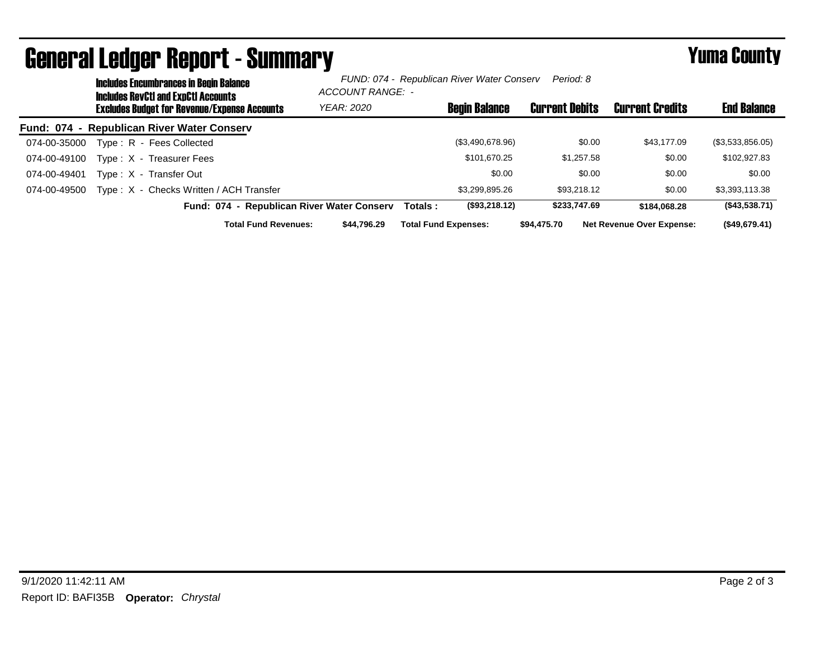|              | <b>Includes Encumbrances in Begin Balance</b><br><b>Includes RevCtI and ExpCtI Accounts</b><br><b>Excludes Budget for Revenue/Expense Accounts</b> |                                            | FUND: 074 - Republican River Water Conserv<br>Period: 8<br>ACCOUNT RANGE: - |         |                             |                       |                                  |                    |
|--------------|----------------------------------------------------------------------------------------------------------------------------------------------------|--------------------------------------------|-----------------------------------------------------------------------------|---------|-----------------------------|-----------------------|----------------------------------|--------------------|
|              |                                                                                                                                                    |                                            | <b>YEAR: 2020</b>                                                           |         | <b>Begin Balance</b>        | <b>Current Debits</b> | <b>Current Credits</b>           | <b>End Balance</b> |
|              |                                                                                                                                                    | Fund: 074 - Republican River Water Conserv |                                                                             |         |                             |                       |                                  |                    |
| 074-00-35000 |                                                                                                                                                    | Type: R - Fees Collected                   |                                                                             |         | (\$3,490,678.96)            | \$0.00                | \$43,177,09                      | (\$3,533,856.05)   |
| 074-00-49100 |                                                                                                                                                    | Type: X - Treasurer Fees                   |                                                                             |         | \$101.670.25                | \$1,257.58            | \$0.00                           | \$102,927.83       |
| 074-00-49401 |                                                                                                                                                    | Type: X - Transfer Out                     |                                                                             |         | \$0.00                      | \$0.00                | \$0.00                           | \$0.00             |
| 074-00-49500 |                                                                                                                                                    | Type: X - Checks Written / ACH Transfer    |                                                                             |         | \$3.299.895.26              | \$93,218,12           | \$0.00                           | \$3,393,113.38     |
|              |                                                                                                                                                    | Fund: 074 - Republican River Water Conserv |                                                                             | Totals: | (\$93,218.12)               | \$233,747.69          | \$184.068.28                     | (\$43,538.71)      |
|              |                                                                                                                                                    | <b>Total Fund Revenues:</b>                | \$44.796.29                                                                 |         | <b>Total Fund Expenses:</b> | \$94,475.70           | <b>Net Revenue Over Expense:</b> | (\$49,679.41)      |

## General Ledger Report - Summary **Example 2018** Yuma County